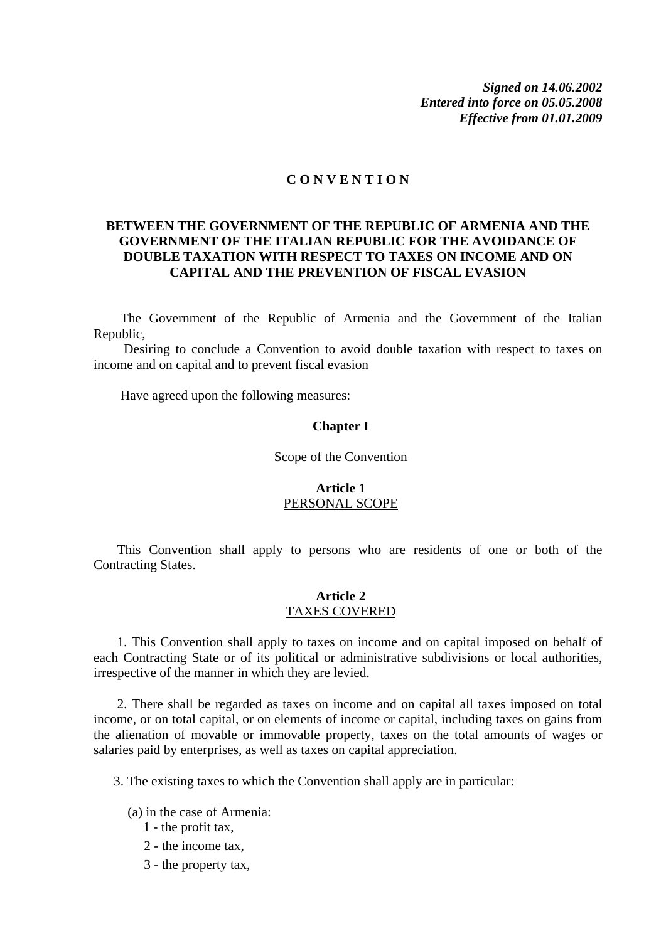*Signed on 14.06.2002 Entered into force on 05.05.2008 Effective from 01.01.2009*

# **C O N V E N T I O N**

# **BETWEEN THE GOVERNMENT OF THE REPUBLIC OF ARMENIA AND THE GOVERNMENT OF THE ITALIAN REPUBLIC FOR THE AVOIDANCE OF DOUBLE TAXATION WITH RESPECT TO TAXES ON INCOME AND ON CAPITAL AND THE PREVENTION OF FISCAL EVASION**

 The Government of the Republic of Armenia and the Government of the Italian Republic,

 Desiring to conclude a Convention to avoid double taxation with respect to taxes on income and on capital and to prevent fiscal evasion

Have agreed upon the following measures:

#### **Chapter I**

Scope of the Convention

### **Article 1**  PERSONAL SCOPE

 This Convention shall apply to persons who are residents of one or both of the Contracting States.

### **Article 2**  TAXES COVERED

 1. This Convention shall apply to taxes on income and on capital imposed on behalf of each Contracting State or of its political or administrative subdivisions or local authorities, irrespective of the manner in which they are levied.

 2. There shall be regarded as taxes on income and on capital all taxes imposed on total income, or on total capital, or on elements of income or capital, including taxes on gains from the alienation of movable or immovable property, taxes on the total amounts of wages or salaries paid by enterprises, as well as taxes on capital appreciation.

3. The existing taxes to which the Convention shall apply are in particular:

- (a) in the case of Armenia:
	- 1 the profit tax,
	- 2 the income tax,
	- 3 the property tax,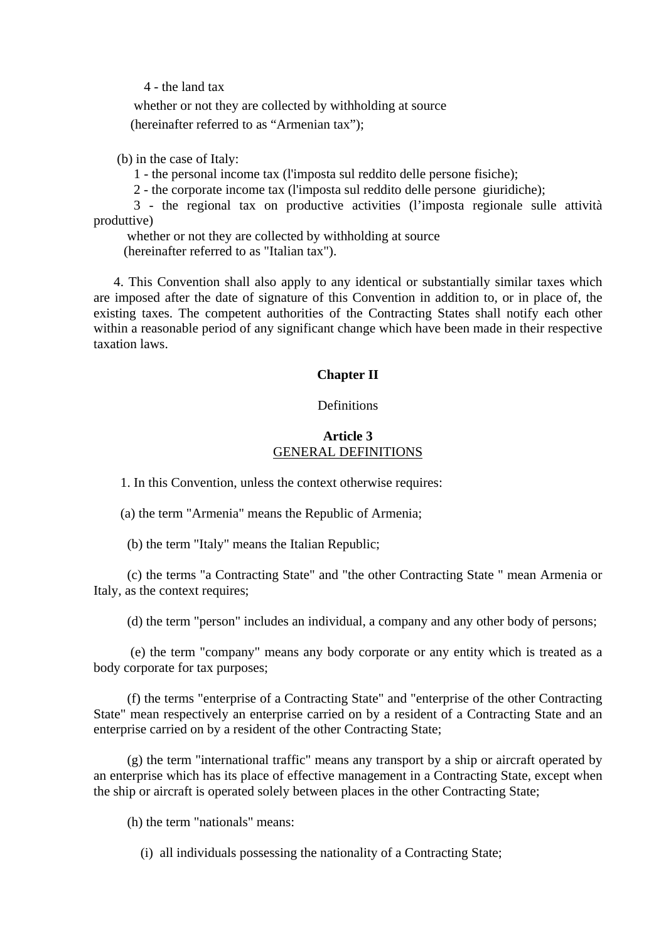4 - the land tax

 whether or not they are collected by withholding at source (hereinafter referred to as "Armenian tax");

(b) in the case of Italy:

1 - the personal income tax (l'imposta sul reddito delle persone fisiche);

2 - the corporate income tax (l'imposta sul reddito delle persone giuridiche);

 3 - the regional tax on productive activities (l'imposta regionale sulle attività produttive)

whether or not they are collected by withholding at source

(hereinafter referred to as "Italian tax").

 4. This Convention shall also apply to any identical or substantially similar taxes which are imposed after the date of signature of this Convention in addition to, or in place of, the existing taxes. The competent authorities of the Contracting States shall notify each other within a reasonable period of any significant change which have been made in their respective taxation laws.

# **Chapter II**

### **Definitions**

### **Article 3**  GENERAL DEFINITIONS

1. In this Convention, unless the context otherwise requires:

(a) the term "Armenia" means the Republic of Armenia;

(b) the term "Italy" means the Italian Republic;

 (c) the terms "a Contracting State" and "the other Contracting State " mean Armenia or Italy, as the context requires;

(d) the term "person" includes an individual, a company and any other body of persons;

 (e) the term "company" means any body corporate or any entity which is treated as a body corporate for tax purposes;

 (f) the terms "enterprise of a Contracting State" and "enterprise of the other Contracting State" mean respectively an enterprise carried on by a resident of a Contracting State and an enterprise carried on by a resident of the other Contracting State;

 (g) the term "international traffic" means any transport by a ship or aircraft operated by an enterprise which has its place of effective management in a Contracting State, except when the ship or aircraft is operated solely between places in the other Contracting State;

(h) the term "nationals" means:

(i) all individuals possessing the nationality of a Contracting State;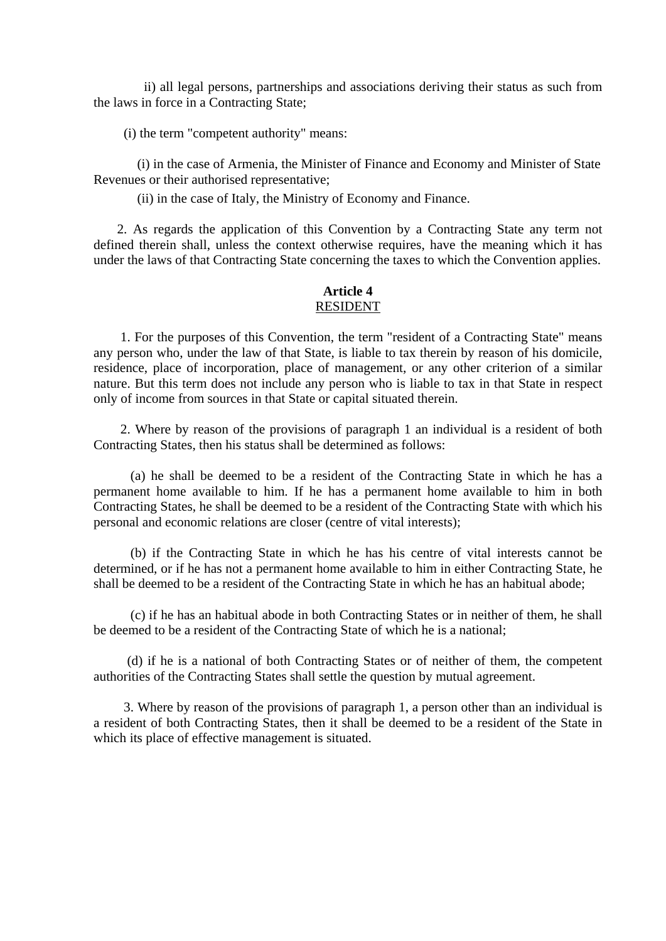ii) all legal persons, partnerships and associations deriving their status as such from the laws in force in a Contracting State;

(i) the term "competent authority" means:

 (i) in the case of Armenia, the Minister of Finance and Economy and Minister of State Revenues or their authorised representative;

(ii) in the case of Italy, the Ministry of Economy and Finance.

 2. As regards the application of this Convention by a Contracting State any term not defined therein shall, unless the context otherwise requires, have the meaning which it has under the laws of that Contracting State concerning the taxes to which the Convention applies.

## **Article 4**  RESIDENT

 1. For the purposes of this Convention, the term "resident of a Contracting State" means any person who, under the law of that State, is liable to tax therein by reason of his domicile, residence, place of incorporation, place of management, or any other criterion of a similar nature. But this term does not include any person who is liable to tax in that State in respect only of income from sources in that State or capital situated therein.

 2. Where by reason of the provisions of paragraph 1 an individual is a resident of both Contracting States, then his status shall be determined as follows:

 (a) he shall be deemed to be a resident of the Contracting State in which he has a permanent home available to him. If he has a permanent home available to him in both Contracting States, he shall be deemed to be a resident of the Contracting State with which his personal and economic relations are closer (centre of vital interests);

 (b) if the Contracting State in which he has his centre of vital interests cannot be determined, or if he has not a permanent home available to him in either Contracting State, he shall be deemed to be a resident of the Contracting State in which he has an habitual abode;

 (c) if he has an habitual abode in both Contracting States or in neither of them, he shall be deemed to be a resident of the Contracting State of which he is a national;

 (d) if he is a national of both Contracting States or of neither of them, the competent authorities of the Contracting States shall settle the question by mutual agreement.

 3. Where by reason of the provisions of paragraph 1, a person other than an individual is a resident of both Contracting States, then it shall be deemed to be a resident of the State in which its place of effective management is situated.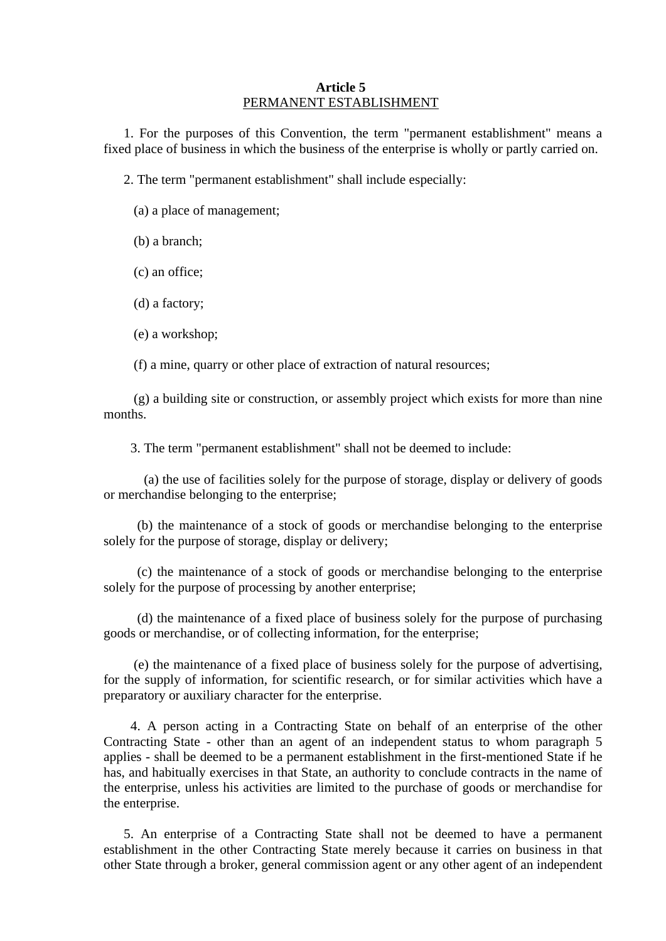#### **Article 5**  PERMANENT ESTABLISHMENT

 1. For the purposes of this Convention, the term "permanent establishment" means a fixed place of business in which the business of the enterprise is wholly or partly carried on.

2. The term "permanent establishment" shall include especially:

(a) a place of management;

(b) a branch;

(c) an office;

(d) a factory;

(e) a workshop;

(f) a mine, quarry or other place of extraction of natural resources;

 (g) a building site or construction, or assembly project which exists for more than nine months.

3. The term "permanent establishment" shall not be deemed to include:

 (a) the use of facilities solely for the purpose of storage, display or delivery of goods or merchandise belonging to the enterprise;

 (b) the maintenance of a stock of goods or merchandise belonging to the enterprise solely for the purpose of storage, display or delivery;

 (c) the maintenance of a stock of goods or merchandise belonging to the enterprise solely for the purpose of processing by another enterprise;

 (d) the maintenance of a fixed place of business solely for the purpose of purchasing goods or merchandise, or of collecting information, for the enterprise;

 (e) the maintenance of a fixed place of business solely for the purpose of advertising, for the supply of information, for scientific research, or for similar activities which have a preparatory or auxiliary character for the enterprise.

 4. A person acting in a Contracting State on behalf of an enterprise of the other Contracting State - other than an agent of an independent status to whom paragraph 5 applies - shall be deemed to be a permanent establishment in the first-mentioned State if he has, and habitually exercises in that State, an authority to conclude contracts in the name of the enterprise, unless his activities are limited to the purchase of goods or merchandise for the enterprise.

 5. An enterprise of a Contracting State shall not be deemed to have a permanent establishment in the other Contracting State merely because it carries on business in that other State through a broker, general commission agent or any other agent of an independent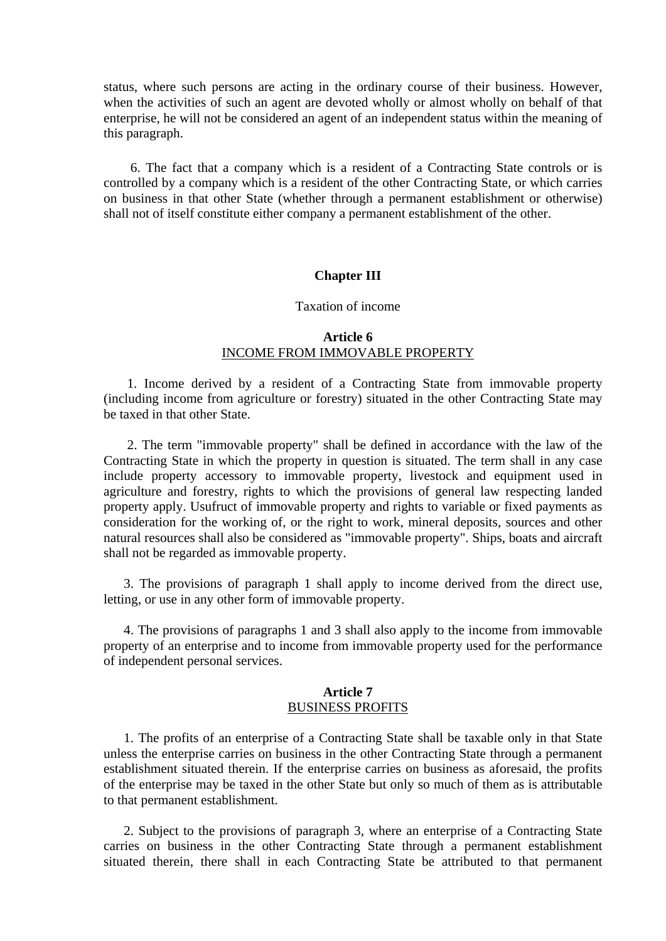status, where such persons are acting in the ordinary course of their business. However, when the activities of such an agent are devoted wholly or almost wholly on behalf of that enterprise, he will not be considered an agent of an independent status within the meaning of this paragraph.

 6. The fact that a company which is a resident of a Contracting State controls or is controlled by a company which is a resident of the other Contracting State, or which carries on business in that other State (whether through a permanent establishment or otherwise) shall not of itself constitute either company a permanent establishment of the other.

#### **Chapter III**

#### Taxation of income

### **Article 6**  INCOME FROM IMMOVABLE PROPERTY

 1. Income derived by a resident of a Contracting State from immovable property (including income from agriculture or forestry) situated in the other Contracting State may be taxed in that other State.

 2. The term "immovable property" shall be defined in accordance with the law of the Contracting State in which the property in question is situated. The term shall in any case include property accessory to immovable property, livestock and equipment used in agriculture and forestry, rights to which the provisions of general law respecting landed property apply. Usufruct of immovable property and rights to variable or fixed payments as consideration for the working of, or the right to work, mineral deposits, sources and other natural resources shall also be considered as "immovable property". Ships, boats and aircraft shall not be regarded as immovable property.

 3. The provisions of paragraph 1 shall apply to income derived from the direct use, letting, or use in any other form of immovable property.

 4. The provisions of paragraphs 1 and 3 shall also apply to the income from immovable property of an enterprise and to income from immovable property used for the performance of independent personal services.

#### **Article 7**  BUSINESS PROFITS

 1. The profits of an enterprise of a Contracting State shall be taxable only in that State unless the enterprise carries on business in the other Contracting State through a permanent establishment situated therein. If the enterprise carries on business as aforesaid, the profits of the enterprise may be taxed in the other State but only so much of them as is attributable to that permanent establishment.

 2. Subject to the provisions of paragraph 3, where an enterprise of a Contracting State carries on business in the other Contracting State through a permanent establishment situated therein, there shall in each Contracting State be attributed to that permanent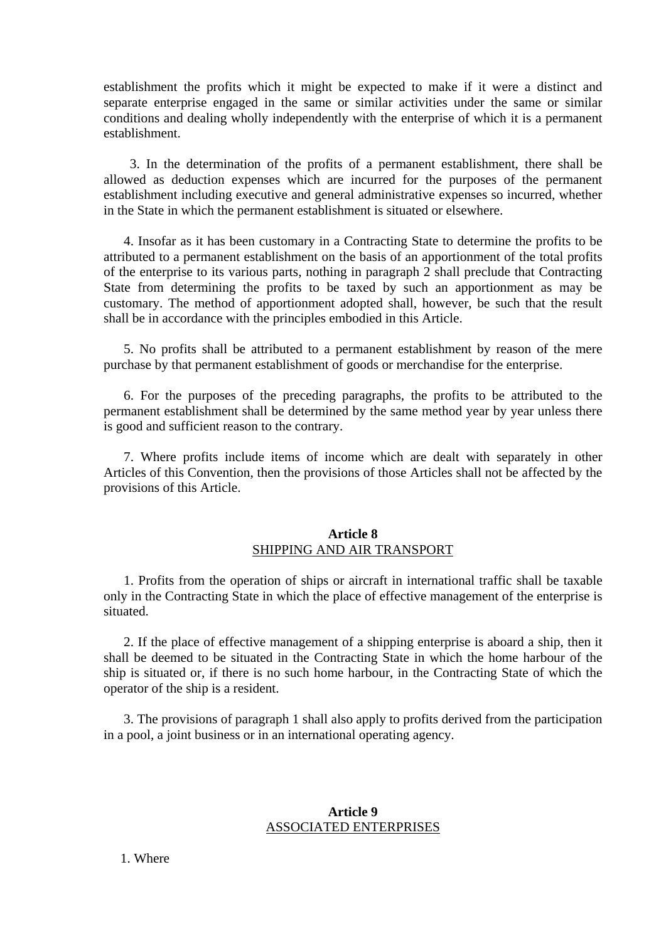establishment the profits which it might be expected to make if it were a distinct and separate enterprise engaged in the same or similar activities under the same or similar conditions and dealing wholly independently with the enterprise of which it is a permanent establishment.

 3. In the determination of the profits of a permanent establishment, there shall be allowed as deduction expenses which are incurred for the purposes of the permanent establishment including executive and general administrative expenses so incurred, whether in the State in which the permanent establishment is situated or elsewhere.

 4. Insofar as it has been customary in a Contracting State to determine the profits to be attributed to a permanent establishment on the basis of an apportionment of the total profits of the enterprise to its various parts, nothing in paragraph 2 shall preclude that Contracting State from determining the profits to be taxed by such an apportionment as may be customary. The method of apportionment adopted shall, however, be such that the result shall be in accordance with the principles embodied in this Article.

 5. No profits shall be attributed to a permanent establishment by reason of the mere purchase by that permanent establishment of goods or merchandise for the enterprise.

 6. For the purposes of the preceding paragraphs, the profits to be attributed to the permanent establishment shall be determined by the same method year by year unless there is good and sufficient reason to the contrary.

 7. Where profits include items of income which are dealt with separately in other Articles of this Convention, then the provisions of those Articles shall not be affected by the provisions of this Article.

### **Article 8**  SHIPPING AND AIR TRANSPORT

 1. Profits from the operation of ships or aircraft in international traffic shall be taxable only in the Contracting State in which the place of effective management of the enterprise is situated.

 2. If the place of effective management of a shipping enterprise is aboard a ship, then it shall be deemed to be situated in the Contracting State in which the home harbour of the ship is situated or, if there is no such home harbour, in the Contracting State of which the operator of the ship is a resident.

 3. The provisions of paragraph 1 shall also apply to profits derived from the participation in a pool, a joint business or in an international operating agency.

# **Article 9**  ASSOCIATED ENTERPRISES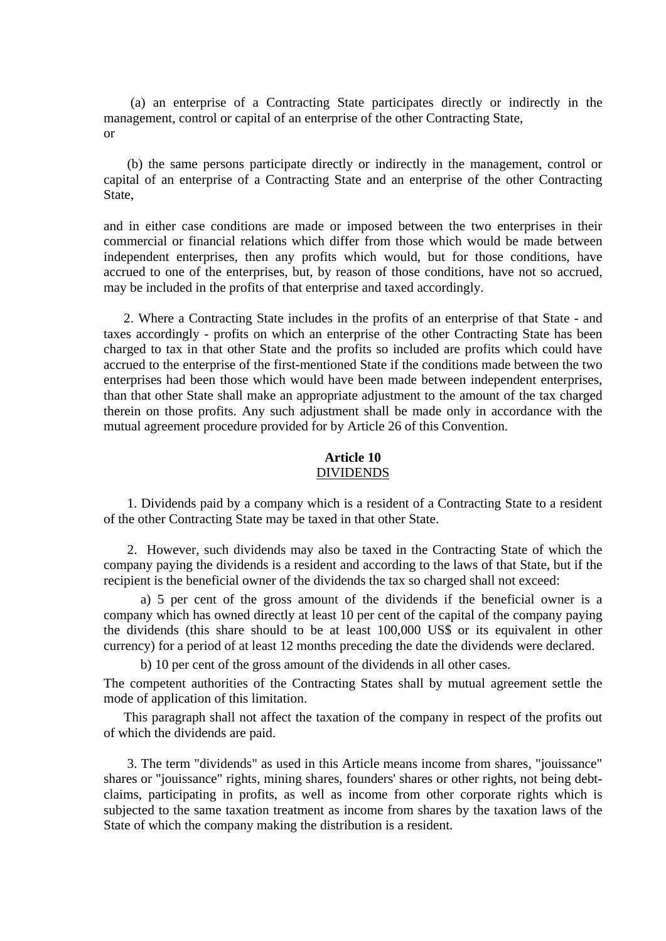(a) an enterprise of a Contracting State participates directly or indirectly in the management, control or capital of an enterprise of the other Contracting State, or

 (b) the same persons participate directly or indirectly in the management, control or capital of an enterprise of a Contracting State and an enterprise of the other Contracting State,

and in either case conditions are made or imposed between the two enterprises in their commercial or financial relations which differ from those which would be made between independent enterprises, then any profits which would, but for those conditions, have accrued to one of the enterprises, but, by reason of those conditions, have not so accrued, may be included in the profits of that enterprise and taxed accordingly.

 2. Where a Contracting State includes in the profits of an enterprise of that State - and taxes accordingly - profits on which an enterprise of the other Contracting State has been charged to tax in that other State and the profits so included are profits which could have accrued to the enterprise of the first-mentioned State if the conditions made between the two enterprises had been those which would have been made between independent enterprises, than that other State shall make an appropriate adjustment to the amount of the tax charged therein on those profits. Any such adjustment shall be made only in accordance with the mutual agreement procedure provided for by Article 26 of this Convention.

# **Article 10**

### DIVIDENDS

 1. Dividends paid by a company which is a resident of a Contracting State to a resident of the other Contracting State may be taxed in that other State.

 2. However, such dividends may also be taxed in the Contracting State of which the company paying the dividends is a resident and according to the laws of that State, but if the recipient is the beneficial owner of the dividends the tax so charged shall not exceed:

 a) 5 per cent of the gross amount of the dividends if the beneficial owner is a company which has owned directly at least 10 per cent of the capital of the company paying the dividends (this share should to be at least 100,000 US\$ or its equivalent in other currency) for a period of at least 12 months preceding the date the dividends were declared.

b) 10 per cent of the gross amount of the dividends in all other cases.

The competent authorities of the Contracting States shall by mutual agreement settle the mode of application of this limitation.

 This paragraph shall not affect the taxation of the company in respect of the profits out of which the dividends are paid.

 3. The term "dividends" as used in this Article means income from shares, "jouissance" shares or "jouissance" rights, mining shares, founders' shares or other rights, not being debtclaims, participating in profits, as well as income from other corporate rights which is subjected to the same taxation treatment as income from shares by the taxation laws of the State of which the company making the distribution is a resident.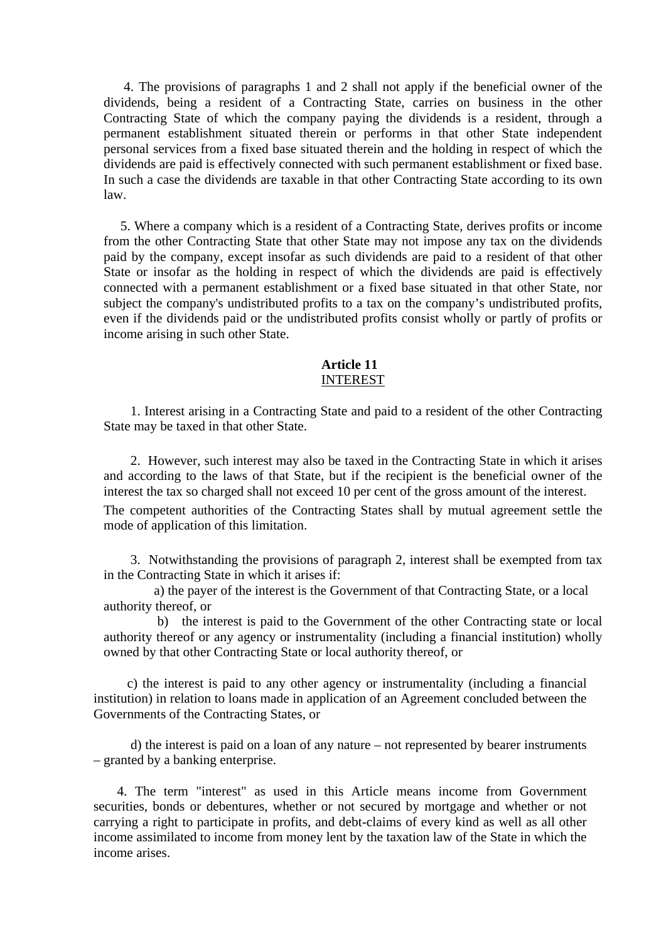4. The provisions of paragraphs 1 and 2 shall not apply if the beneficial owner of the dividends, being a resident of a Contracting State, carries on business in the other Contracting State of which the company paying the dividends is a resident, through a permanent establishment situated therein or performs in that other State independent personal services from a fixed base situated therein and the holding in respect of which the dividends are paid is effectively connected with such permanent establishment or fixed base. In such a case the dividends are taxable in that other Contracting State according to its own law.

 5. Where a company which is a resident of a Contracting State, derives profits or income from the other Contracting State that other State may not impose any tax on the dividends paid by the company, except insofar as such dividends are paid to a resident of that other State or insofar as the holding in respect of which the dividends are paid is effectively connected with a permanent establishment or a fixed base situated in that other State, nor subject the company's undistributed profits to a tax on the company's undistributed profits, even if the dividends paid or the undistributed profits consist wholly or partly of profits or income arising in such other State.

### **Article 11**  INTEREST

 1. Interest arising in a Contracting State and paid to a resident of the other Contracting State may be taxed in that other State.

 2. However, such interest may also be taxed in the Contracting State in which it arises and according to the laws of that State, but if the recipient is the beneficial owner of the interest the tax so charged shall not exceed 10 per cent of the gross amount of the interest. The competent authorities of the Contracting States shall by mutual agreement settle the mode of application of this limitation.

 3. Notwithstanding the provisions of paragraph 2, interest shall be exempted from tax in the Contracting State in which it arises if:

 a) the payer of the interest is the Government of that Contracting State, or a local authority thereof, or

 b) the interest is paid to the Government of the other Contracting state or local authority thereof or any agency or instrumentality (including a financial institution) wholly owned by that other Contracting State or local authority thereof, or

 c) the interest is paid to any other agency or instrumentality (including a financial institution) in relation to loans made in application of an Agreement concluded between the Governments of the Contracting States, or

 d) the interest is paid on a loan of any nature – not represented by bearer instruments – granted by a banking enterprise.

 4. The term "interest" as used in this Article means income from Government securities, bonds or debentures, whether or not secured by mortgage and whether or not carrying a right to participate in profits, and debt-claims of every kind as well as all other income assimilated to income from money lent by the taxation law of the State in which the income arises.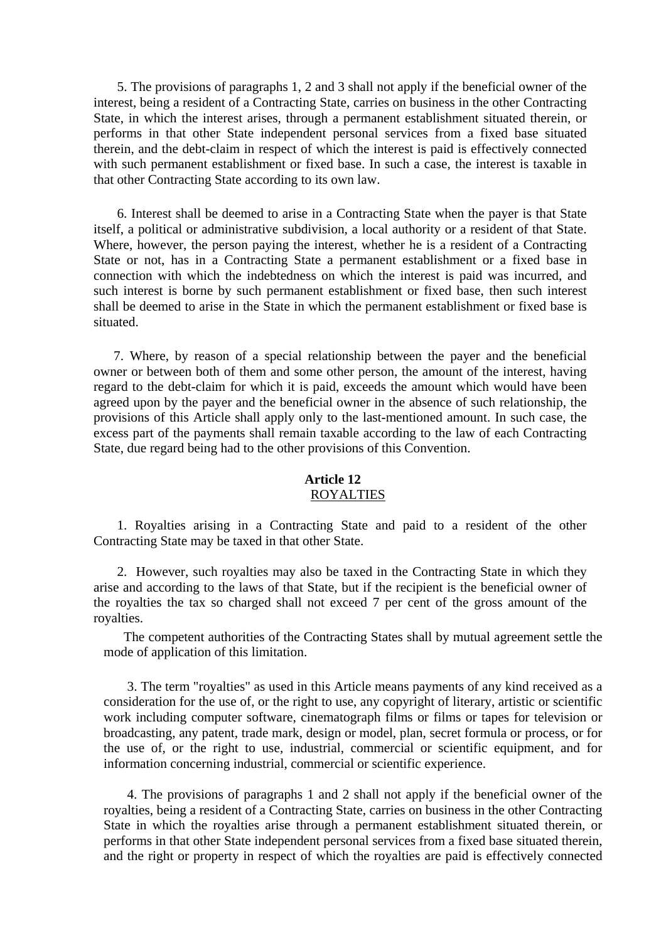5. The provisions of paragraphs 1, 2 and 3 shall not apply if the beneficial owner of the interest, being a resident of a Contracting State, carries on business in the other Contracting State, in which the interest arises, through a permanent establishment situated therein, or performs in that other State independent personal services from a fixed base situated therein, and the debt-claim in respect of which the interest is paid is effectively connected with such permanent establishment or fixed base. In such a case, the interest is taxable in that other Contracting State according to its own law.

 6. Interest shall be deemed to arise in a Contracting State when the payer is that State itself, a political or administrative subdivision, a local authority or a resident of that State. Where, however, the person paying the interest, whether he is a resident of a Contracting State or not, has in a Contracting State a permanent establishment or a fixed base in connection with which the indebtedness on which the interest is paid was incurred, and such interest is borne by such permanent establishment or fixed base, then such interest shall be deemed to arise in the State in which the permanent establishment or fixed base is situated.

 7. Where, by reason of a special relationship between the payer and the beneficial owner or between both of them and some other person, the amount of the interest, having regard to the debt-claim for which it is paid, exceeds the amount which would have been agreed upon by the payer and the beneficial owner in the absence of such relationship, the provisions of this Article shall apply only to the last-mentioned amount. In such case, the excess part of the payments shall remain taxable according to the law of each Contracting State, due regard being had to the other provisions of this Convention.

# **Article 12**

# ROYALTIES

 1. Royalties arising in a Contracting State and paid to a resident of the other Contracting State may be taxed in that other State.

 2. However, such royalties may also be taxed in the Contracting State in which they arise and according to the laws of that State, but if the recipient is the beneficial owner of the royalties the tax so charged shall not exceed 7 per cent of the gross amount of the royalties.

 The competent authorities of the Contracting States shall by mutual agreement settle the mode of application of this limitation.

 3. The term "royalties" as used in this Article means payments of any kind received as a consideration for the use of, or the right to use, any copyright of literary, artistic or scientific work including computer software, cinematograph films or films or tapes for television or broadcasting, any patent, trade mark, design or model, plan, secret formula or process, or for the use of, or the right to use, industrial, commercial or scientific equipment, and for information concerning industrial, commercial or scientific experience.

 4. The provisions of paragraphs 1 and 2 shall not apply if the beneficial owner of the royalties, being a resident of a Contracting State, carries on business in the other Contracting State in which the royalties arise through a permanent establishment situated therein, or performs in that other State independent personal services from a fixed base situated therein, and the right or property in respect of which the royalties are paid is effectively connected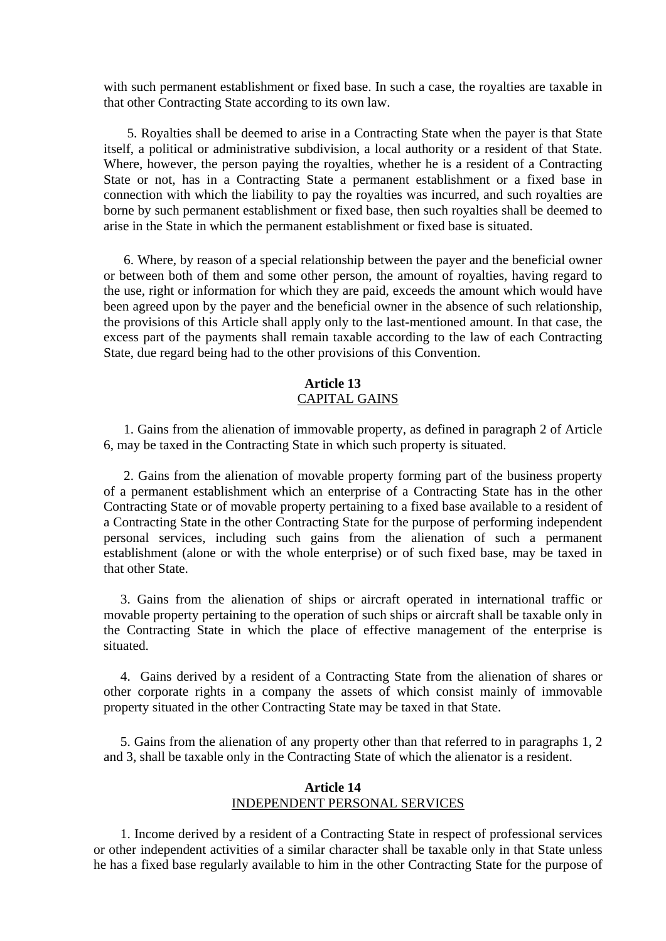with such permanent establishment or fixed base. In such a case, the royalties are taxable in that other Contracting State according to its own law.

 5. Royalties shall be deemed to arise in a Contracting State when the payer is that State itself, a political or administrative subdivision, a local authority or a resident of that State. Where, however, the person paying the royalties, whether he is a resident of a Contracting State or not, has in a Contracting State a permanent establishment or a fixed base in connection with which the liability to pay the royalties was incurred, and such royalties are borne by such permanent establishment or fixed base, then such royalties shall be deemed to arise in the State in which the permanent establishment or fixed base is situated.

 6. Where, by reason of a special relationship between the payer and the beneficial owner or between both of them and some other person, the amount of royalties, having regard to the use, right or information for which they are paid, exceeds the amount which would have been agreed upon by the payer and the beneficial owner in the absence of such relationship, the provisions of this Article shall apply only to the last-mentioned amount. In that case, the excess part of the payments shall remain taxable according to the law of each Contracting State, due regard being had to the other provisions of this Convention.

### **Article 13**  CAPITAL GAINS

 1. Gains from the alienation of immovable property, as defined in paragraph 2 of Article 6, may be taxed in the Contracting State in which such property is situated.

 2. Gains from the alienation of movable property forming part of the business property of a permanent establishment which an enterprise of a Contracting State has in the other Contracting State or of movable property pertaining to a fixed base available to a resident of a Contracting State in the other Contracting State for the purpose of performing independent personal services, including such gains from the alienation of such a permanent establishment (alone or with the whole enterprise) or of such fixed base, may be taxed in that other State.

 3. Gains from the alienation of ships or aircraft operated in international traffic or movable property pertaining to the operation of such ships or aircraft shall be taxable only in the Contracting State in which the place of effective management of the enterprise is situated.

 4. Gains derived by a resident of a Contracting State from the alienation of shares or other corporate rights in a company the assets of which consist mainly of immovable property situated in the other Contracting State may be taxed in that State.

 5. Gains from the alienation of any property other than that referred to in paragraphs 1, 2 and 3, shall be taxable only in the Contracting State of which the alienator is a resident.

#### **Article 14**  INDEPENDENT PERSONAL SERVICES

 1. Income derived by a resident of a Contracting State in respect of professional services or other independent activities of a similar character shall be taxable only in that State unless he has a fixed base regularly available to him in the other Contracting State for the purpose of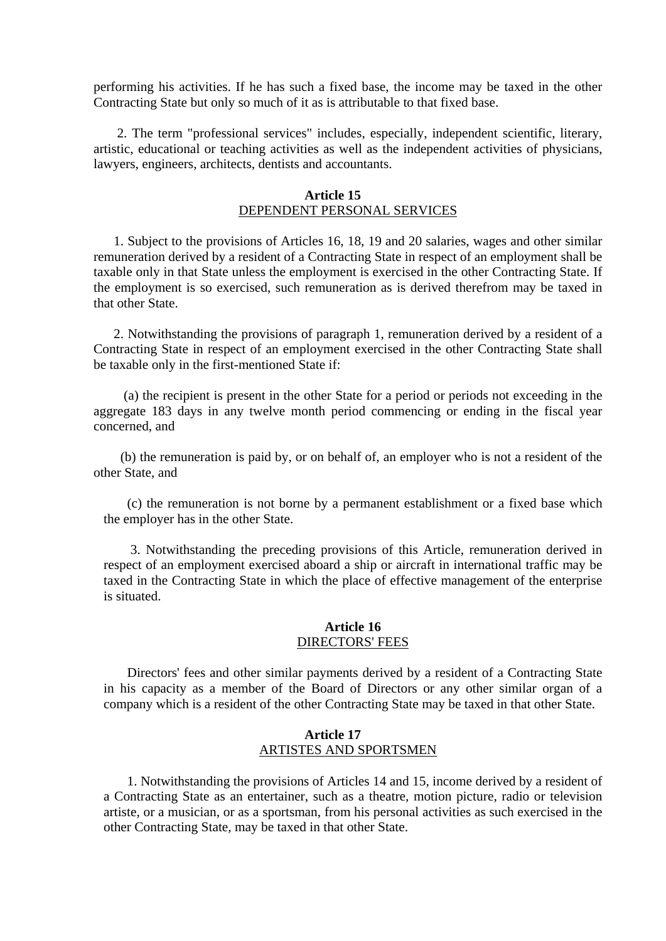performing his activities. If he has such a fixed base, the income may be taxed in the other Contracting State but only so much of it as is attributable to that fixed base.

 2. The term "professional services" includes, especially, independent scientific, literary, artistic, educational or teaching activities as well as the independent activities of physicians, lawyers, engineers, architects, dentists and accountants.

#### **Article 15**  DEPENDENT PERSONAL SERVICES

 1. Subject to the provisions of Articles 16, 18, 19 and 20 salaries, wages and other similar remuneration derived by a resident of a Contracting State in respect of an employment shall be taxable only in that State unless the employment is exercised in the other Contracting State. If the employment is so exercised, such remuneration as is derived therefrom may be taxed in that other State.

 2. Notwithstanding the provisions of paragraph 1, remuneration derived by a resident of a Contracting State in respect of an employment exercised in the other Contracting State shall be taxable only in the first-mentioned State if:

 (a) the recipient is present in the other State for a period or periods not exceeding in the aggregate 183 days in any twelve month period commencing or ending in the fiscal year concerned, and

 (b) the remuneration is paid by, or on behalf of, an employer who is not a resident of the other State, and

 (c) the remuneration is not borne by a permanent establishment or a fixed base which the employer has in the other State.

 3. Notwithstanding the preceding provisions of this Article, remuneration derived in respect of an employment exercised aboard a ship or aircraft in international traffic may be taxed in the Contracting State in which the place of effective management of the enterprise is situated.

#### **Article 16**  DIRECTORS' FEES

 Directors' fees and other similar payments derived by a resident of a Contracting State in his capacity as a member of the Board of Directors or any other similar organ of a company which is a resident of the other Contracting State may be taxed in that other State.

# **Article 17**  ARTISTES AND SPORTSMEN

 1. Notwithstanding the provisions of Articles 14 and 15, income derived by a resident of a Contracting State as an entertainer, such as a theatre, motion picture, radio or television artiste, or a musician, or as a sportsman, from his personal activities as such exercised in the other Contracting State, may be taxed in that other State.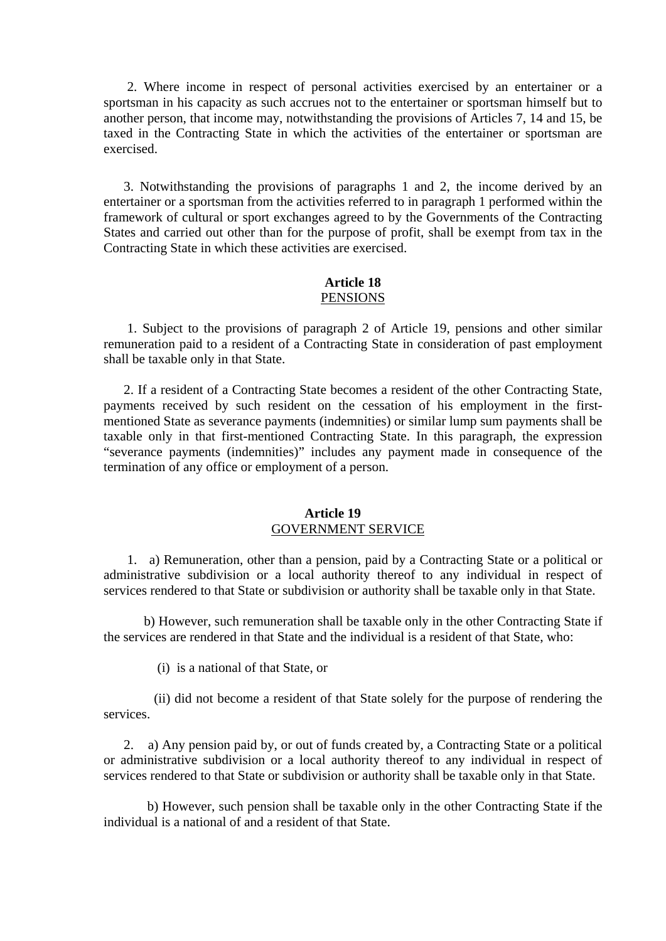2. Where income in respect of personal activities exercised by an entertainer or a sportsman in his capacity as such accrues not to the entertainer or sportsman himself but to another person, that income may, notwithstanding the provisions of Articles 7, 14 and 15, be taxed in the Contracting State in which the activities of the entertainer or sportsman are exercised.

 3. Notwithstanding the provisions of paragraphs 1 and 2, the income derived by an entertainer or a sportsman from the activities referred to in paragraph 1 performed within the framework of cultural or sport exchanges agreed to by the Governments of the Contracting States and carried out other than for the purpose of profit, shall be exempt from tax in the Contracting State in which these activities are exercised.

### **Article 18**  PENSIONS

 1. Subject to the provisions of paragraph 2 of Article 19, pensions and other similar remuneration paid to a resident of a Contracting State in consideration of past employment shall be taxable only in that State.

 2. If a resident of a Contracting State becomes a resident of the other Contracting State, payments received by such resident on the cessation of his employment in the firstmentioned State as severance payments (indemnities) or similar lump sum payments shall be taxable only in that first-mentioned Contracting State. In this paragraph, the expression "severance payments (indemnities)" includes any payment made in consequence of the termination of any office or employment of a person.

### **Article 19**  GOVERNMENT SERVICE

 1. a) Remuneration, other than a pension, paid by a Contracting State or a political or administrative subdivision or a local authority thereof to any individual in respect of services rendered to that State or subdivision or authority shall be taxable only in that State.

 b) However, such remuneration shall be taxable only in the other Contracting State if the services are rendered in that State and the individual is a resident of that State, who:

(i) is a national of that State, or

 (ii) did not become a resident of that State solely for the purpose of rendering the services.

 2. a) Any pension paid by, or out of funds created by, a Contracting State or a political or administrative subdivision or a local authority thereof to any individual in respect of services rendered to that State or subdivision or authority shall be taxable only in that State.

 b) However, such pension shall be taxable only in the other Contracting State if the individual is a national of and a resident of that State.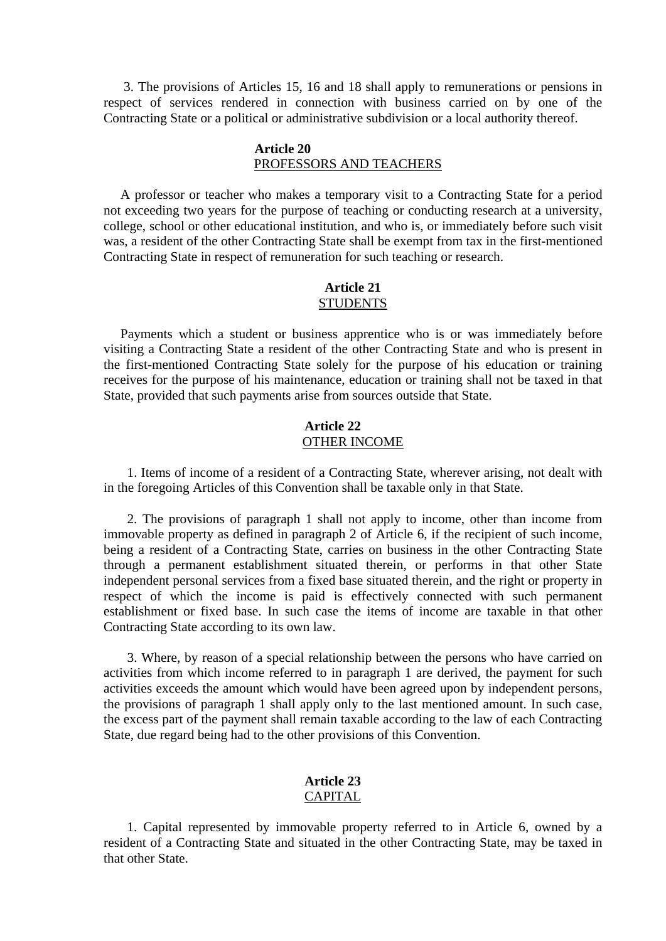3. The provisions of Articles 15, 16 and 18 shall apply to remunerations or pensions in respect of services rendered in connection with business carried on by one of the Contracting State or a political or administrative subdivision or a local authority thereof.

#### **Article 20**  PROFESSORS AND TEACHERS

 A professor or teacher who makes a temporary visit to a Contracting State for a period not exceeding two years for the purpose of teaching or conducting research at a university, college, school or other educational institution, and who is, or immediately before such visit was, a resident of the other Contracting State shall be exempt from tax in the first-mentioned Contracting State in respect of remuneration for such teaching or research.

### **Article 21 STUDENTS**

 Payments which a student or business apprentice who is or was immediately before visiting a Contracting State a resident of the other Contracting State and who is present in the first-mentioned Contracting State solely for the purpose of his education or training receives for the purpose of his maintenance, education or training shall not be taxed in that State, provided that such payments arise from sources outside that State.

# **Article 22**  OTHER INCOME

 1. Items of income of a resident of a Contracting State, wherever arising, not dealt with in the foregoing Articles of this Convention shall be taxable only in that State.

 2. The provisions of paragraph 1 shall not apply to income, other than income from immovable property as defined in paragraph 2 of Article 6, if the recipient of such income, being a resident of a Contracting State, carries on business in the other Contracting State through a permanent establishment situated therein, or performs in that other State independent personal services from a fixed base situated therein, and the right or property in respect of which the income is paid is effectively connected with such permanent establishment or fixed base. In such case the items of income are taxable in that other Contracting State according to its own law.

 3. Where, by reason of a special relationship between the persons who have carried on activities from which income referred to in paragraph 1 are derived, the payment for such activities exceeds the amount which would have been agreed upon by independent persons, the provisions of paragraph 1 shall apply only to the last mentioned amount. In such case, the excess part of the payment shall remain taxable according to the law of each Contracting State, due regard being had to the other provisions of this Convention.

### **Article 23 CAPITAL**

 1. Capital represented by immovable property referred to in Article 6, owned by a resident of a Contracting State and situated in the other Contracting State, may be taxed in that other State.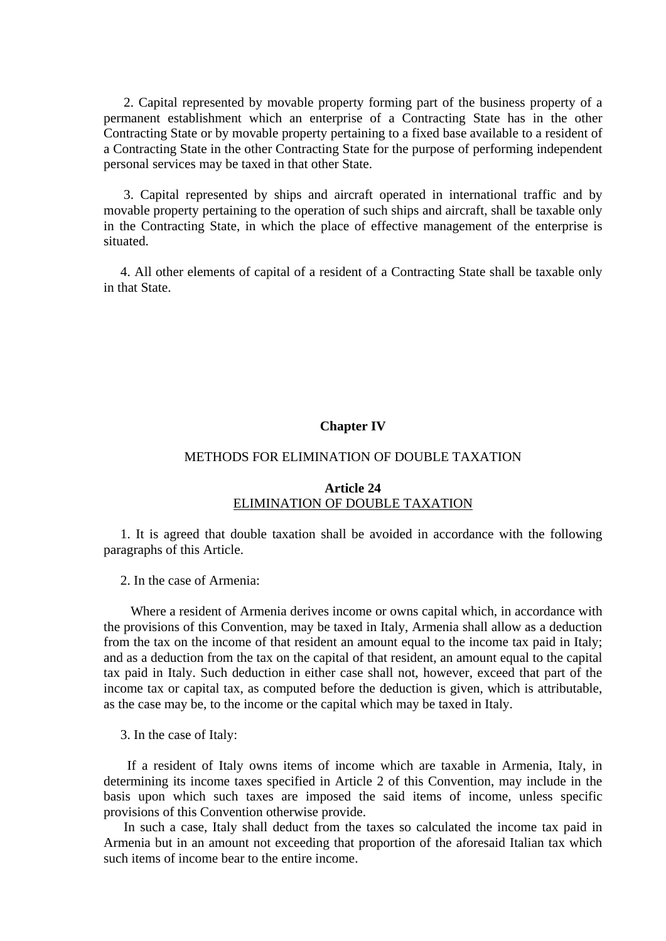2. Capital represented by movable property forming part of the business property of a permanent establishment which an enterprise of a Contracting State has in the other Contracting State or by movable property pertaining to a fixed base available to a resident of a Contracting State in the other Contracting State for the purpose of performing independent personal services may be taxed in that other State.

 3. Capital represented by ships and aircraft operated in international traffic and by movable property pertaining to the operation of such ships and aircraft, shall be taxable only in the Contracting State, in which the place of effective management of the enterprise is situated.

 4. All other elements of capital of a resident of a Contracting State shall be taxable only in that State.

#### **Chapter IV**

#### METHODS FOR ELIMINATION OF DOUBLE TAXATION

#### **Article 24**  ELIMINATION OF DOUBLE TAXATION

 1. It is agreed that double taxation shall be avoided in accordance with the following paragraphs of this Article.

2. In the case of Armenia:

 Where a resident of Armenia derives income or owns capital which, in accordance with the provisions of this Convention, may be taxed in Italy, Armenia shall allow as a deduction from the tax on the income of that resident an amount equal to the income tax paid in Italy; and as a deduction from the tax on the capital of that resident, an amount equal to the capital tax paid in Italy. Such deduction in either case shall not, however, exceed that part of the income tax or capital tax, as computed before the deduction is given, which is attributable, as the case may be, to the income or the capital which may be taxed in Italy.

#### 3. In the case of Italy:

 If a resident of Italy owns items of income which are taxable in Armenia, Italy, in determining its income taxes specified in Article 2 of this Convention, may include in the basis upon which such taxes are imposed the said items of income, unless specific provisions of this Convention otherwise provide.

 In such a case, Italy shall deduct from the taxes so calculated the income tax paid in Armenia but in an amount not exceeding that proportion of the aforesaid Italian tax which such items of income bear to the entire income.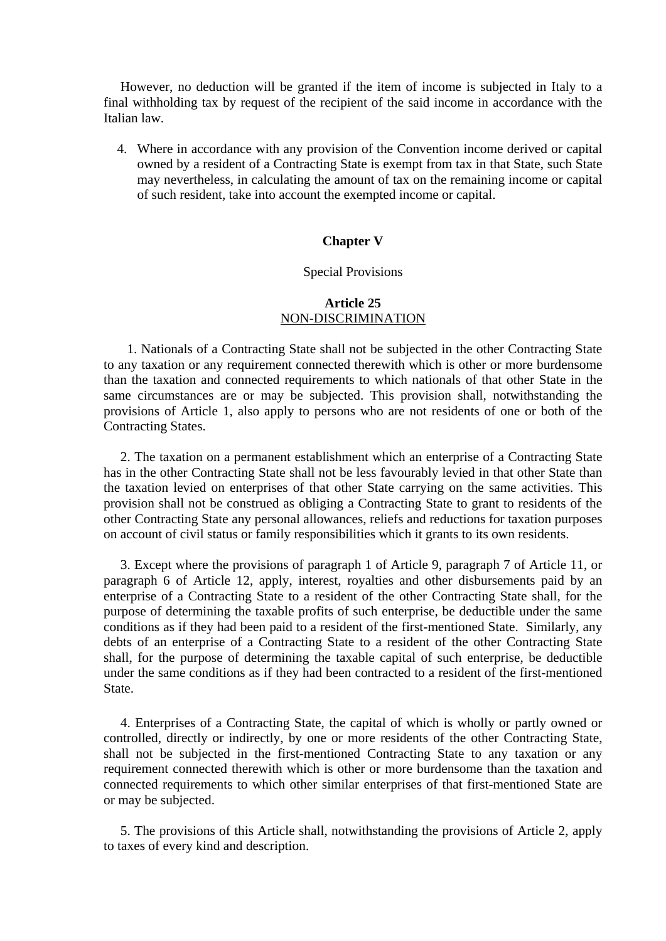However, no deduction will be granted if the item of income is subjected in Italy to a final withholding tax by request of the recipient of the said income in accordance with the Italian law.

4. Where in accordance with any provision of the Convention income derived or capital owned by a resident of a Contracting State is exempt from tax in that State, such State may nevertheless, in calculating the amount of tax on the remaining income or capital of such resident, take into account the exempted income or capital.

# **Chapter V**

#### Special Provisions

### **Article 25**  NON-DISCRIMINATION

 1. Nationals of a Contracting State shall not be subjected in the other Contracting State to any taxation or any requirement connected therewith which is other or more burdensome than the taxation and connected requirements to which nationals of that other State in the same circumstances are or may be subjected. This provision shall, notwithstanding the provisions of Article 1, also apply to persons who are not residents of one or both of the Contracting States.

 2. The taxation on a permanent establishment which an enterprise of a Contracting State has in the other Contracting State shall not be less favourably levied in that other State than the taxation levied on enterprises of that other State carrying on the same activities. This provision shall not be construed as obliging a Contracting State to grant to residents of the other Contracting State any personal allowances, reliefs and reductions for taxation purposes on account of civil status or family responsibilities which it grants to its own residents.

 3. Except where the provisions of paragraph 1 of Article 9, paragraph 7 of Article 11, or paragraph 6 of Article 12, apply, interest, royalties and other disbursements paid by an enterprise of a Contracting State to a resident of the other Contracting State shall, for the purpose of determining the taxable profits of such enterprise, be deductible under the same conditions as if they had been paid to a resident of the first-mentioned State. Similarly, any debts of an enterprise of a Contracting State to a resident of the other Contracting State shall, for the purpose of determining the taxable capital of such enterprise, be deductible under the same conditions as if they had been contracted to a resident of the first-mentioned State.

 4. Enterprises of a Contracting State, the capital of which is wholly or partly owned or controlled, directly or indirectly, by one or more residents of the other Contracting State, shall not be subjected in the first-mentioned Contracting State to any taxation or any requirement connected therewith which is other or more burdensome than the taxation and connected requirements to which other similar enterprises of that first-mentioned State are or may be subjected.

 5. The provisions of this Article shall, notwithstanding the provisions of Article 2, apply to taxes of every kind and description.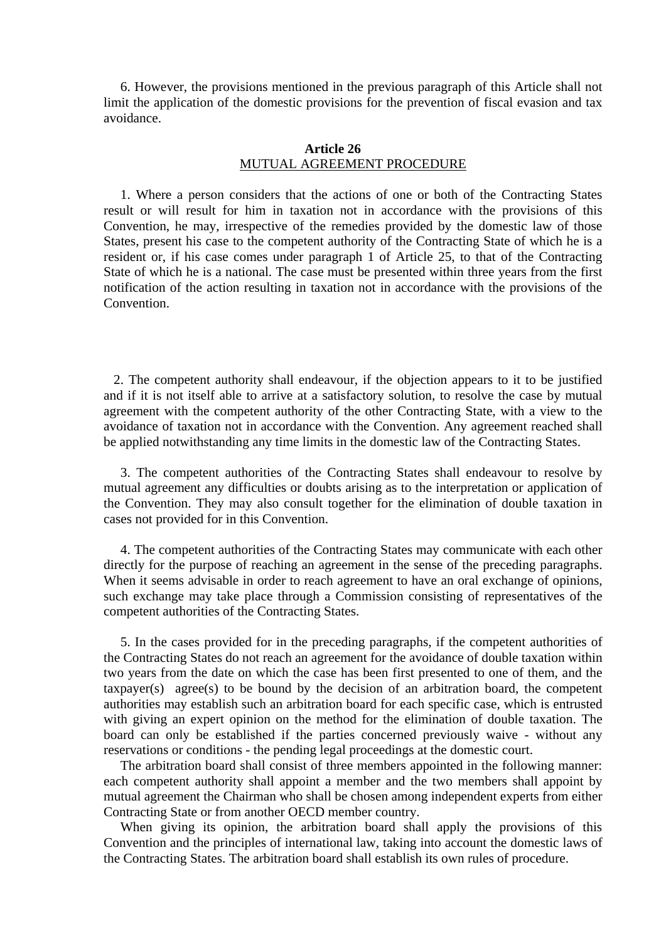6. However, the provisions mentioned in the previous paragraph of this Article shall not limit the application of the domestic provisions for the prevention of fiscal evasion and tax avoidance.

### **Article 26**  MUTUAL AGREEMENT PROCEDURE

 1. Where a person considers that the actions of one or both of the Contracting States result or will result for him in taxation not in accordance with the provisions of this Convention, he may, irrespective of the remedies provided by the domestic law of those States, present his case to the competent authority of the Contracting State of which he is a resident or, if his case comes under paragraph 1 of Article 25, to that of the Contracting State of which he is a national. The case must be presented within three years from the first notification of the action resulting in taxation not in accordance with the provisions of the Convention.

 2. The competent authority shall endeavour, if the objection appears to it to be justified and if it is not itself able to arrive at a satisfactory solution, to resolve the case by mutual agreement with the competent authority of the other Contracting State, with a view to the avoidance of taxation not in accordance with the Convention. Any agreement reached shall be applied notwithstanding any time limits in the domestic law of the Contracting States.

 3. The competent authorities of the Contracting States shall endeavour to resolve by mutual agreement any difficulties or doubts arising as to the interpretation or application of the Convention. They may also consult together for the elimination of double taxation in cases not provided for in this Convention.

 4. The competent authorities of the Contracting States may communicate with each other directly for the purpose of reaching an agreement in the sense of the preceding paragraphs. When it seems advisable in order to reach agreement to have an oral exchange of opinions, such exchange may take place through a Commission consisting of representatives of the competent authorities of the Contracting States.

 5. In the cases provided for in the preceding paragraphs, if the competent authorities of the Contracting States do not reach an agreement for the avoidance of double taxation within two years from the date on which the case has been first presented to one of them, and the  $taryaryer(s)$  agree(s) to be bound by the decision of an arbitration board, the competent authorities may establish such an arbitration board for each specific case, which is entrusted with giving an expert opinion on the method for the elimination of double taxation. The board can only be established if the parties concerned previously waive - without any reservations or conditions - the pending legal proceedings at the domestic court.

 The arbitration board shall consist of three members appointed in the following manner: each competent authority shall appoint a member and the two members shall appoint by mutual agreement the Chairman who shall be chosen among independent experts from either Contracting State or from another OECD member country.

 When giving its opinion, the arbitration board shall apply the provisions of this Convention and the principles of international law, taking into account the domestic laws of the Contracting States. The arbitration board shall establish its own rules of procedure.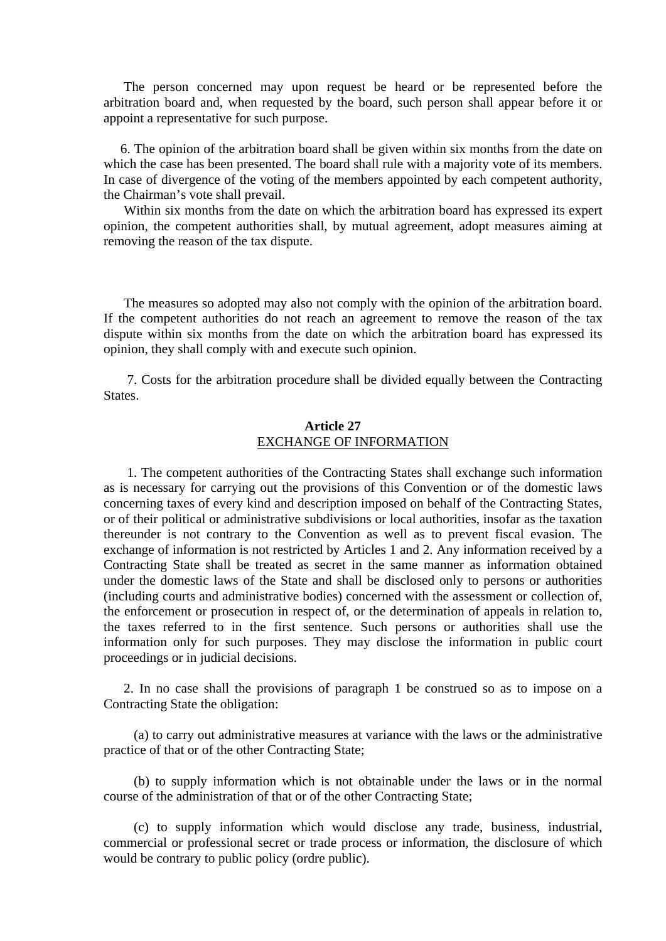The person concerned may upon request be heard or be represented before the arbitration board and, when requested by the board, such person shall appear before it or appoint a representative for such purpose.

 6. The opinion of the arbitration board shall be given within six months from the date on which the case has been presented. The board shall rule with a majority vote of its members. In case of divergence of the voting of the members appointed by each competent authority, the Chairman's vote shall prevail.

 Within six months from the date on which the arbitration board has expressed its expert opinion, the competent authorities shall, by mutual agreement, adopt measures aiming at removing the reason of the tax dispute.

 The measures so adopted may also not comply with the opinion of the arbitration board. If the competent authorities do not reach an agreement to remove the reason of the tax dispute within six months from the date on which the arbitration board has expressed its opinion, they shall comply with and execute such opinion.

 7. Costs for the arbitration procedure shall be divided equally between the Contracting States.

# **Article 27**  EXCHANGE OF INFORMATION

 1. The competent authorities of the Contracting States shall exchange such information as is necessary for carrying out the provisions of this Convention or of the domestic laws concerning taxes of every kind and description imposed on behalf of the Contracting States, or of their political or administrative subdivisions or local authorities, insofar as the taxation thereunder is not contrary to the Convention as well as to prevent fiscal evasion. The exchange of information is not restricted by Articles 1 and 2. Any information received by a Contracting State shall be treated as secret in the same manner as information obtained under the domestic laws of the State and shall be disclosed only to persons or authorities (including courts and administrative bodies) concerned with the assessment or collection of, the enforcement or prosecution in respect of, or the determination of appeals in relation to, the taxes referred to in the first sentence. Such persons or authorities shall use the information only for such purposes. They may disclose the information in public court proceedings or in judicial decisions.

 2. In no case shall the provisions of paragraph 1 be construed so as to impose on a Contracting State the obligation:

 (a) to carry out administrative measures at variance with the laws or the administrative practice of that or of the other Contracting State;

 (b) to supply information which is not obtainable under the laws or in the normal course of the administration of that or of the other Contracting State;

 (c) to supply information which would disclose any trade, business, industrial, commercial or professional secret or trade process or information, the disclosure of which would be contrary to public policy (ordre public).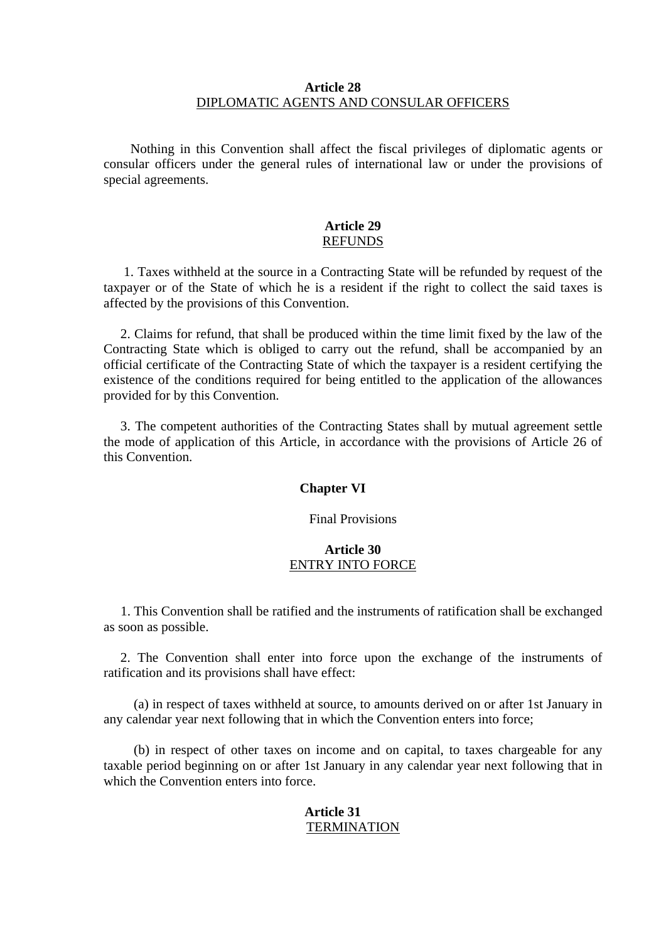# **Article 28**  DIPLOMATIC AGENTS AND CONSULAR OFFICERS

 Nothing in this Convention shall affect the fiscal privileges of diplomatic agents or consular officers under the general rules of international law or under the provisions of special agreements.

#### **Article 29 REFUNDS**

 1. Taxes withheld at the source in a Contracting State will be refunded by request of the taxpayer or of the State of which he is a resident if the right to collect the said taxes is affected by the provisions of this Convention.

 2. Claims for refund, that shall be produced within the time limit fixed by the law of the Contracting State which is obliged to carry out the refund, shall be accompanied by an official certificate of the Contracting State of which the taxpayer is a resident certifying the existence of the conditions required for being entitled to the application of the allowances provided for by this Convention.

 3. The competent authorities of the Contracting States shall by mutual agreement settle the mode of application of this Article, in accordance with the provisions of Article 26 of this Convention.

#### **Chapter VI**

#### Final Provisions

### **Article 30**  ENTRY INTO FORCE

 1. This Convention shall be ratified and the instruments of ratification shall be exchanged as soon as possible.

 2. The Convention shall enter into force upon the exchange of the instruments of ratification and its provisions shall have effect:

 (a) in respect of taxes withheld at source, to amounts derived on or after 1st January in any calendar year next following that in which the Convention enters into force;

 (b) in respect of other taxes on income and on capital, to taxes chargeable for any taxable period beginning on or after 1st January in any calendar year next following that in which the Convention enters into force.

# **Article 31 TERMINATION**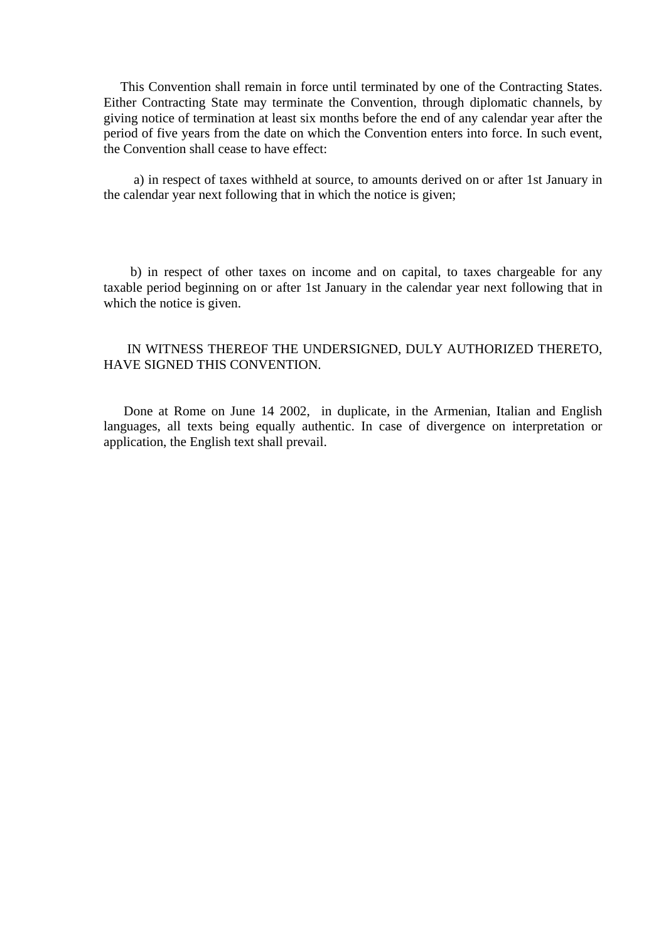This Convention shall remain in force until terminated by one of the Contracting States. Either Contracting State may terminate the Convention, through diplomatic channels, by giving notice of termination at least six months before the end of any calendar year after the period of five years from the date on which the Convention enters into force. In such event, the Convention shall cease to have effect:

 a) in respect of taxes withheld at source, to amounts derived on or after 1st January in the calendar year next following that in which the notice is given;

 b) in respect of other taxes on income and on capital, to taxes chargeable for any taxable period beginning on or after 1st January in the calendar year next following that in which the notice is given.

# IN WITNESS THEREOF THE UNDERSIGNED, DULY AUTHORIZED THERETO, HAVE SIGNED THIS CONVENTION.

 Done at Rome on June 14 2002, in duplicate, in the Armenian, Italian and English languages, all texts being equally authentic. In case of divergence on interpretation or application, the English text shall prevail.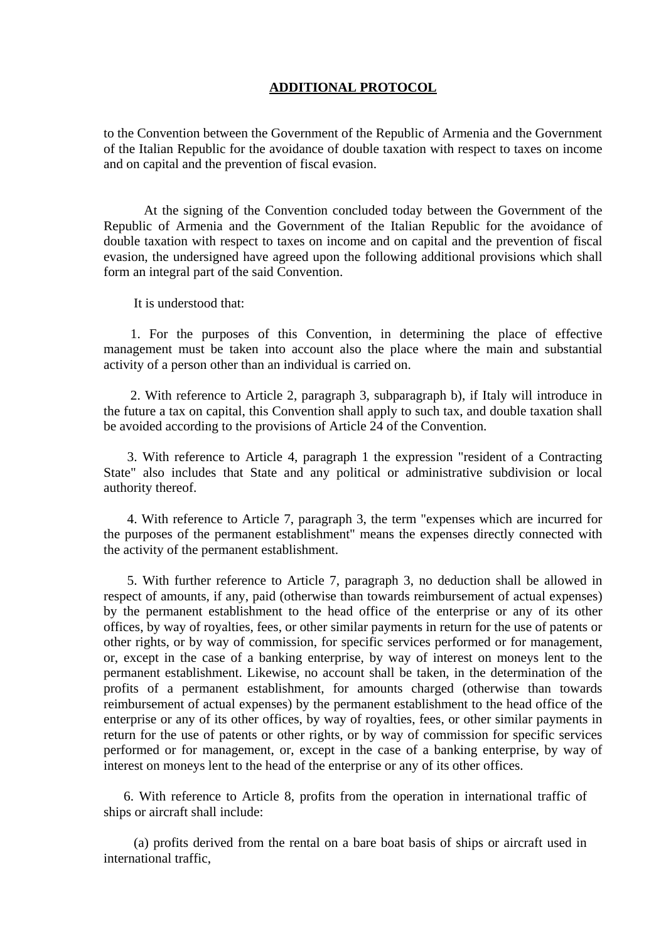# **ADDITIONAL PROTOCOL**

to the Convention between the Government of the Republic of Armenia and the Government of the Italian Republic for the avoidance of double taxation with respect to taxes on income and on capital and the prevention of fiscal evasion.

At the signing of the Convention concluded today between the Government of the Republic of Armenia and the Government of the Italian Republic for the avoidance of double taxation with respect to taxes on income and on capital and the prevention of fiscal evasion, the undersigned have agreed upon the following additional provisions which shall form an integral part of the said Convention.

It is understood that:

 1. For the purposes of this Convention, in determining the place of effective management must be taken into account also the place where the main and substantial activity of a person other than an individual is carried on.

 2. With reference to Article 2, paragraph 3, subparagraph b), if Italy will introduce in the future a tax on capital, this Convention shall apply to such tax, and double taxation shall be avoided according to the provisions of Article 24 of the Convention.

 3. With reference to Article 4, paragraph 1 the expression "resident of a Contracting State" also includes that State and any political or administrative subdivision or local authority thereof.

 4. With reference to Article 7, paragraph 3, the term "expenses which are incurred for the purposes of the permanent establishment" means the expenses directly connected with the activity of the permanent establishment.

 5. With further reference to Article 7, paragraph 3, no deduction shall be allowed in respect of amounts, if any, paid (otherwise than towards reimbursement of actual expenses) by the permanent establishment to the head office of the enterprise or any of its other offices, by way of royalties, fees, or other similar payments in return for the use of patents or other rights, or by way of commission, for specific services performed or for management, or, except in the case of a banking enterprise, by way of interest on moneys lent to the permanent establishment. Likewise, no account shall be taken, in the determination of the profits of a permanent establishment, for amounts charged (otherwise than towards reimbursement of actual expenses) by the permanent establishment to the head office of the enterprise or any of its other offices, by way of royalties, fees, or other similar payments in return for the use of patents or other rights, or by way of commission for specific services performed or for management, or, except in the case of a banking enterprise, by way of interest on moneys lent to the head of the enterprise or any of its other offices.

 6. With reference to Article 8, profits from the operation in international traffic of ships or aircraft shall include:

 (a) profits derived from the rental on a bare boat basis of ships or aircraft used in international traffic,